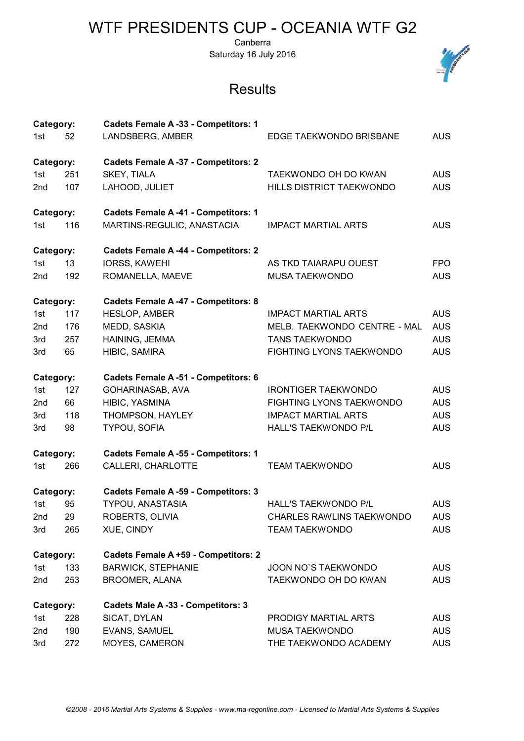Canberra Saturday 16 July 2016

| Category:<br>1st | 52  | <b>Cadets Female A -33 - Competitors: 1</b><br>LANDSBERG, AMBER | EDGE TAEKWONDO BRISBANE          | <b>AUS</b> |
|------------------|-----|-----------------------------------------------------------------|----------------------------------|------------|
| Category:        |     | <b>Cadets Female A -37 - Competitors: 2</b>                     |                                  |            |
| 1st              | 251 | SKEY, TIALA                                                     | TAEKWONDO OH DO KWAN             | <b>AUS</b> |
| 2nd              | 107 | LAHOOD, JULIET                                                  | HILLS DISTRICT TAEKWONDO         | <b>AUS</b> |
|                  |     |                                                                 |                                  |            |
| Category:        |     | <b>Cadets Female A -41 - Competitors: 1</b>                     |                                  |            |
| 1st              | 116 | MARTINS-REGULIC, ANASTACIA                                      | <b>IMPACT MARTIAL ARTS</b>       | <b>AUS</b> |
| Category:        |     | <b>Cadets Female A -44 - Competitors: 2</b>                     |                                  |            |
| 1st              | 13  | <b>IORSS, KAWEHI</b>                                            | AS TKD TAIARAPU OUEST            | <b>FPO</b> |
| 2nd              | 192 | ROMANELLA, MAEVE                                                | MUSA TAEKWONDO                   | <b>AUS</b> |
| Category:        |     | <b>Cadets Female A -47 - Competitors: 8</b>                     |                                  |            |
| 1st              | 117 | HESLOP, AMBER                                                   | <b>IMPACT MARTIAL ARTS</b>       | <b>AUS</b> |
| 2nd              | 176 | MEDD, SASKIA                                                    | MELB. TAEKWONDO CENTRE - MAL     | <b>AUS</b> |
| 3rd              | 257 | HAINING, JEMMA                                                  | <b>TANS TAEKWONDO</b>            | <b>AUS</b> |
| 3rd              | 65  | HIBIC, SAMIRA                                                   | FIGHTING LYONS TAEKWONDO         | <b>AUS</b> |
| Category:        |     | <b>Cadets Female A -51 - Competitors: 6</b>                     |                                  |            |
| 1st              | 127 | GOHARINASAB, AVA                                                | <b>IRONTIGER TAEKWONDO</b>       | <b>AUS</b> |
| 2nd              | 66  | HIBIC, YASMINA                                                  | FIGHTING LYONS TAEKWONDO         | <b>AUS</b> |
| 3rd              | 118 | THOMPSON, HAYLEY                                                | <b>IMPACT MARTIAL ARTS</b>       | <b>AUS</b> |
| 3rd              | 98  | <b>TYPOU, SOFIA</b>                                             | HALL'S TAEKWONDO P/L             | <b>AUS</b> |
| Category:        |     | <b>Cadets Female A -55 - Competitors: 1</b>                     |                                  |            |
| 1st              | 266 | CALLERI, CHARLOTTE                                              | <b>TEAM TAEKWONDO</b>            | <b>AUS</b> |
| Category:        |     | <b>Cadets Female A -59 - Competitors: 3</b>                     |                                  |            |
| 1st              | 95  | <b>TYPOU, ANASTASIA</b>                                         | <b>HALL'S TAEKWONDO P/L</b>      | <b>AUS</b> |
| 2nd              | 29  | ROBERTS, OLIVIA                                                 | <b>CHARLES RAWLINS TAEKWONDO</b> | <b>AUS</b> |
| 3rd              | 265 | XUE, CINDY                                                      | <b>TEAM TAEKWONDO</b>            | <b>AUS</b> |
| Category:        |     | Cadets Female A +59 - Competitors: 2                            |                                  |            |
| 1st              | 133 | <b>BARWICK, STEPHANIE</b>                                       | JOON NO'S TAEKWONDO              | <b>AUS</b> |
| 2nd              | 253 | <b>BROOMER, ALANA</b>                                           | TAEKWONDO OH DO KWAN             | <b>AUS</b> |
| Category:        |     | Cadets Male A -33 - Competitors: 3                              |                                  |            |
| 1st              | 228 | SICAT, DYLAN                                                    | PRODIGY MARTIAL ARTS             | <b>AUS</b> |
| 2nd              | 190 | EVANS, SAMUEL                                                   | <b>MUSA TAEKWONDO</b>            | <b>AUS</b> |
| 3rd              | 272 | MOYES, CAMERON                                                  | THE TAEKWONDO ACADEMY            | <b>AUS</b> |

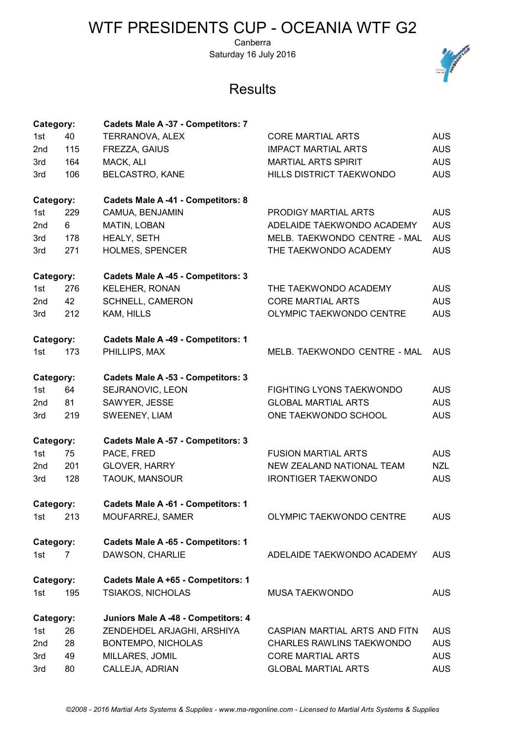Canberra Saturday 16 July 2016



| Category: |     | Cadets Male A -37 - Competitors: 7  |                                  |            |
|-----------|-----|-------------------------------------|----------------------------------|------------|
| 1st       | 40  | TERRANOVA, ALEX                     | <b>CORE MARTIAL ARTS</b>         | <b>AUS</b> |
| 2nd       | 115 | FREZZA, GAIUS                       | <b>IMPACT MARTIAL ARTS</b>       | <b>AUS</b> |
| 3rd       | 164 | MACK, ALI                           | <b>MARTIAL ARTS SPIRIT</b>       | <b>AUS</b> |
| 3rd       | 106 | <b>BELCASTRO, KANE</b>              | HILLS DISTRICT TAEKWONDO         | <b>AUS</b> |
| Category: |     | Cadets Male A-41 - Competitors: 8   |                                  |            |
| 1st       | 229 | CAMUA, BENJAMIN                     | PRODIGY MARTIAL ARTS             | <b>AUS</b> |
| 2nd       | 6   | MATIN, LOBAN                        | ADELAIDE TAEKWONDO ACADEMY       | <b>AUS</b> |
| 3rd       | 178 | HEALY, SETH                         | MELB. TAEKWONDO CENTRE - MAL     | <b>AUS</b> |
| 3rd       | 271 | <b>HOLMES, SPENCER</b>              | THE TAEKWONDO ACADEMY            | <b>AUS</b> |
| Category: |     | Cadets Male A -45 - Competitors: 3  |                                  |            |
| 1st       | 276 | <b>KELEHER, RONAN</b>               | THE TAEKWONDO ACADEMY            | <b>AUS</b> |
| 2nd       | 42  | SCHNELL, CAMERON                    | <b>CORE MARTIAL ARTS</b>         | <b>AUS</b> |
| 3rd       | 212 | KAM, HILLS                          | OLYMPIC TAEKWONDO CENTRE         | <b>AUS</b> |
| Category: |     | Cadets Male A -49 - Competitors: 1  |                                  |            |
| 1st       | 173 | PHILLIPS, MAX                       | MELB. TAEKWONDO CENTRE - MAL     | AUS.       |
| Category: |     | Cadets Male A -53 - Competitors: 3  |                                  |            |
| 1st       | 64  | SEJRANOVIC, LEON                    | FIGHTING LYONS TAEKWONDO         | <b>AUS</b> |
| 2nd       | 81  | SAWYER, JESSE                       | <b>GLOBAL MARTIAL ARTS</b>       | <b>AUS</b> |
| 3rd       | 219 | SWEENEY, LIAM                       | ONE TAEKWONDO SCHOOL             | <b>AUS</b> |
| Category: |     | Cadets Male A -57 - Competitors: 3  |                                  |            |
| 1st       | 75  | PACE, FRED                          | <b>FUSION MARTIAL ARTS</b>       | <b>AUS</b> |
| 2nd       | 201 | <b>GLOVER, HARRY</b>                | NEW ZEALAND NATIONAL TEAM        | <b>NZL</b> |
| 3rd       | 128 | TAOUK, MANSOUR                      | <b>IRONTIGER TAEKWONDO</b>       | <b>AUS</b> |
| Category: |     | Cadets Male A -61 - Competitors: 1  |                                  |            |
| 1st       | 213 | MOUFARREJ, SAMER                    | OLYMPIC TAEKWONDO CENTRE         | <b>AUS</b> |
| Category: |     | Cadets Male A -65 - Competitors: 1  |                                  |            |
| 1st       | 7   | DAWSON, CHARLIE                     | ADELAIDE TAEKWONDO ACADEMY       | <b>AUS</b> |
| Category: |     | Cadets Male A +65 - Competitors: 1  |                                  |            |
| 1st       | 195 | TSIAKOS, NICHOLAS                   | <b>MUSA TAEKWONDO</b>            | <b>AUS</b> |
| Category: |     | Juniors Male A -48 - Competitors: 4 |                                  |            |
| 1st       | 26  | ZENDEHDEL ARJAGHI, ARSHIYA          | CASPIAN MARTIAL ARTS AND FITN    | <b>AUS</b> |
| 2nd       | 28  | BONTEMPO, NICHOLAS                  | <b>CHARLES RAWLINS TAEKWONDO</b> | <b>AUS</b> |
| 3rd       | 49  | MILLARES, JOMIL                     | <b>CORE MARTIAL ARTS</b>         | <b>AUS</b> |
| 3rd       | 80  | CALLEJA, ADRIAN                     | <b>GLOBAL MARTIAL ARTS</b>       | <b>AUS</b> |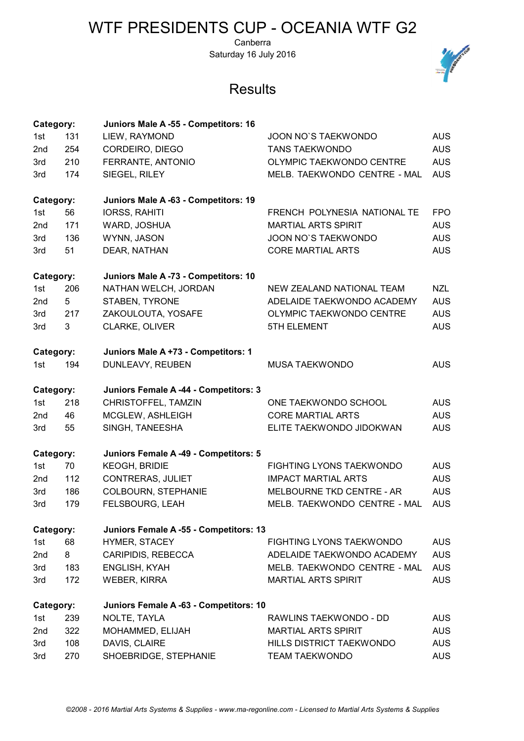Canberra Saturday 16 July 2016



| Category: |     | Juniors Male A -55 - Competitors: 16   |                                 |            |
|-----------|-----|----------------------------------------|---------------------------------|------------|
| 1st       | 131 | LIEW, RAYMOND                          | JOON NO'S TAEKWONDO             | <b>AUS</b> |
| 2nd       | 254 | CORDEIRO, DIEGO                        | <b>TANS TAEKWONDO</b>           | <b>AUS</b> |
| 3rd       | 210 | FERRANTE, ANTONIO                      | OLYMPIC TAEKWONDO CENTRE        | <b>AUS</b> |
| 3rd       | 174 | SIEGEL, RILEY                          | MELB. TAEKWONDO CENTRE - MAL    | <b>AUS</b> |
| Category: |     | Juniors Male A -63 - Competitors: 19   |                                 |            |
| 1st       | 56  | <b>IORSS, RAHITI</b>                   | FRENCH POLYNESIA NATIONAL TE    | <b>FPO</b> |
| 2nd       | 171 | WARD, JOSHUA                           | <b>MARTIAL ARTS SPIRIT</b>      | <b>AUS</b> |
| 3rd       | 136 | WYNN, JASON                            | <b>JOON NO'S TAEKWONDO</b>      | <b>AUS</b> |
| 3rd       | 51  | DEAR, NATHAN                           | <b>CORE MARTIAL ARTS</b>        | <b>AUS</b> |
| Category: |     | Juniors Male A -73 - Competitors: 10   |                                 |            |
| 1st       | 206 | NATHAN WELCH, JORDAN                   | NEW ZEALAND NATIONAL TEAM       | <b>NZL</b> |
| 2nd       | 5   | STABEN, TYRONE                         | ADELAIDE TAEKWONDO ACADEMY      | <b>AUS</b> |
| 3rd       | 217 | ZAKOULOUTA, YOSAFE                     | <b>OLYMPIC TAEKWONDO CENTRE</b> | <b>AUS</b> |
| 3rd       | 3   | CLARKE, OLIVER                         | <b>5TH ELEMENT</b>              | <b>AUS</b> |
| Category: |     | Juniors Male A +73 - Competitors: 1    |                                 |            |
| 1st       | 194 | DUNLEAVY, REUBEN                       | <b>MUSA TAEKWONDO</b>           | <b>AUS</b> |
| Category: |     | Juniors Female A -44 - Competitors: 3  |                                 |            |
| 1st       | 218 | CHRISTOFFEL, TAMZIN                    | ONE TAEKWONDO SCHOOL            | <b>AUS</b> |
| 2nd       | 46  | MCGLEW, ASHLEIGH                       | <b>CORE MARTIAL ARTS</b>        | <b>AUS</b> |
| 3rd       | 55  | SINGH, TANEESHA                        | ELITE TAEKWONDO JIDOKWAN        | <b>AUS</b> |
| Category: |     | Juniors Female A -49 - Competitors: 5  |                                 |            |
| 1st       | 70  | <b>KEOGH, BRIDIE</b>                   | <b>FIGHTING LYONS TAEKWONDO</b> | <b>AUS</b> |
| 2nd       | 112 | <b>CONTRERAS, JULIET</b>               | <b>IMPACT MARTIAL ARTS</b>      | <b>AUS</b> |
| 3rd       | 186 | COLBOURN, STEPHANIE                    | MELBOURNE TKD CENTRE - AR       | <b>AUS</b> |
| 3rd       | 179 | FELSBOURG, LEAH                        | MELB. TAEKWONDO CENTRE - MAL    | <b>AUS</b> |
| Category: |     | Juniors Female A -55 - Competitors: 13 |                                 |            |
| 1st       | 68  | HYMER, STACEY                          | <b>FIGHTING LYONS TAEKWONDO</b> | <b>AUS</b> |
| 2nd       | 8   | CARIPIDIS, REBECCA                     | ADELAIDE TAEKWONDO ACADEMY      | <b>AUS</b> |
| 3rd       | 183 | ENGLISH, KYAH                          | MELB. TAEKWONDO CENTRE - MAL    | <b>AUS</b> |
| 3rd       | 172 | <b>WEBER, KIRRA</b>                    | <b>MARTIAL ARTS SPIRIT</b>      | <b>AUS</b> |
| Category: |     | Juniors Female A -63 - Competitors: 10 |                                 |            |
| 1st       | 239 | NOLTE, TAYLA                           | RAWLINS TAEKWONDO - DD          | <b>AUS</b> |
| 2nd       | 322 | MOHAMMED, ELIJAH                       | <b>MARTIAL ARTS SPIRIT</b>      | <b>AUS</b> |
| 3rd       | 108 | DAVIS, CLAIRE                          | <b>HILLS DISTRICT TAEKWONDO</b> | <b>AUS</b> |
| 3rd       | 270 | SHOEBRIDGE, STEPHANIE                  | <b>TEAM TAEKWONDO</b>           | <b>AUS</b> |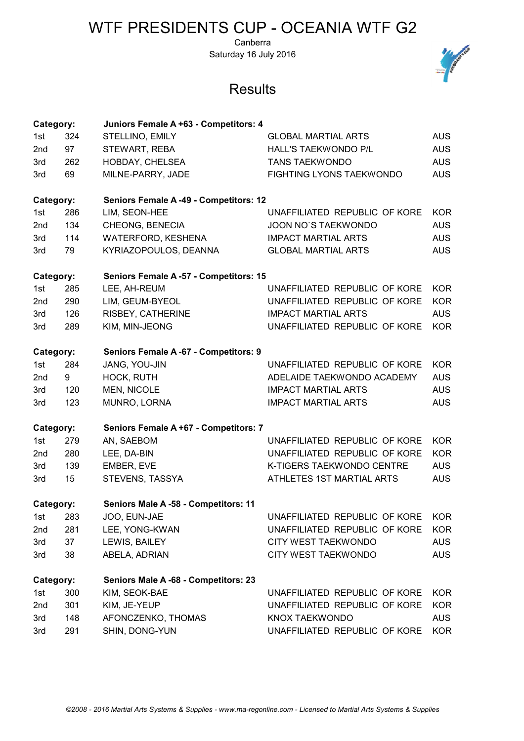Canberra Saturday 16 July 2016

| Category:       |     | Juniors Female A +63 - Competitors: 4  |                                 |            |
|-----------------|-----|----------------------------------------|---------------------------------|------------|
| 1st             | 324 | STELLINO, EMILY                        | <b>GLOBAL MARTIAL ARTS</b>      | <b>AUS</b> |
| 2nd             | 97  | STEWART, REBA                          | HALL'S TAEKWONDO P/L            | <b>AUS</b> |
| 3rd             | 262 | HOBDAY, CHELSEA                        | <b>TANS TAEKWONDO</b>           | <b>AUS</b> |
| 3rd             | 69  | MILNE-PARRY, JADE                      | <b>FIGHTING LYONS TAEKWONDO</b> | <b>AUS</b> |
| Category:       |     | Seniors Female A -49 - Competitors: 12 |                                 |            |
| 1st             | 286 | LIM, SEON-HEE                          | UNAFFILIATED REPUBLIC OF KORE   | <b>KOR</b> |
| 2nd             | 134 | CHEONG, BENECIA                        | JOON NO'S TAEKWONDO             | <b>AUS</b> |
| 3rd             | 114 | WATERFORD, KESHENA                     | <b>IMPACT MARTIAL ARTS</b>      | <b>AUS</b> |
| 3rd             | 79  | KYRIAZOPOULOS, DEANNA                  | <b>GLOBAL MARTIAL ARTS</b>      | <b>AUS</b> |
| Category:       |     | Seniors Female A -57 - Competitors: 15 |                                 |            |
| 1st             | 285 | LEE, AH-REUM                           | UNAFFILIATED REPUBLIC OF KORE   | <b>KOR</b> |
| 2 <sub>nd</sub> | 290 | LIM, GEUM-BYEOL                        | UNAFFILIATED REPUBLIC OF KORE   | <b>KOR</b> |
| 3rd             | 126 | RISBEY, CATHERINE                      | <b>IMPACT MARTIAL ARTS</b>      | <b>AUS</b> |
| 3rd             | 289 | KIM, MIN-JEONG                         | UNAFFILIATED REPUBLIC OF KORE   | <b>KOR</b> |
| Category:       |     | Seniors Female A -67 - Competitors: 9  |                                 |            |
| 1st             | 284 | JANG, YOU-JIN                          | UNAFFILIATED REPUBLIC OF KORE   | <b>KOR</b> |
| 2 <sub>nd</sub> | 9   | HOCK, RUTH                             | ADELAIDE TAEKWONDO ACADEMY      | <b>AUS</b> |
| 3rd             | 120 | MEN, NICOLE                            | <b>IMPACT MARTIAL ARTS</b>      | <b>AUS</b> |
| 3rd             | 123 | MUNRO, LORNA                           | <b>IMPACT MARTIAL ARTS</b>      | <b>AUS</b> |
| Category:       |     | Seniors Female A +67 - Competitors: 7  |                                 |            |
| 1st             | 279 | AN, SAEBOM                             | UNAFFILIATED REPUBLIC OF KORE   | <b>KOR</b> |
| 2 <sub>nd</sub> | 280 | LEE, DA-BIN                            | UNAFFILIATED REPUBLIC OF KORE   | <b>KOR</b> |
| 3rd             | 139 | EMBER, EVE                             | K-TIGERS TAEKWONDO CENTRE       | <b>AUS</b> |
| 3rd             | 15  | STEVENS, TASSYA                        | ATHLETES 1ST MARTIAL ARTS       | <b>AUS</b> |
|                 |     |                                        |                                 |            |
| Category:       |     | Seniors Male A -58 - Competitors: 11   |                                 |            |
| 1st             | 283 | JOO, EUN-JAE                           | UNAFFILIATED REPUBLIC OF KORE   | <b>KOR</b> |
| 2 <sub>nd</sub> | 281 | LEE, YONG-KWAN                         | UNAFFILIATED REPUBLIC OF KORE   | <b>KOR</b> |
| 3rd             | 37  | LEWIS, BAILEY                          | CITY WEST TAEKWONDO             | <b>AUS</b> |
| 3rd             | 38  | ABELA, ADRIAN                          | CITY WEST TAEKWONDO             | <b>AUS</b> |
| Category:       |     | Seniors Male A -68 - Competitors: 23   |                                 |            |
| 1st             | 300 | KIM, SEOK-BAE                          | UNAFFILIATED REPUBLIC OF KORE   | <b>KOR</b> |
| 2nd             | 301 | KIM, JE-YEUP                           | UNAFFILIATED REPUBLIC OF KORE   | <b>KOR</b> |
| 3rd             | 148 | AFONCZENKO, THOMAS                     | KNOX TAEKWONDO                  | <b>AUS</b> |
| 3rd             | 291 | SHIN, DONG-YUN                         | UNAFFILIATED REPUBLIC OF KORE   | <b>KOR</b> |

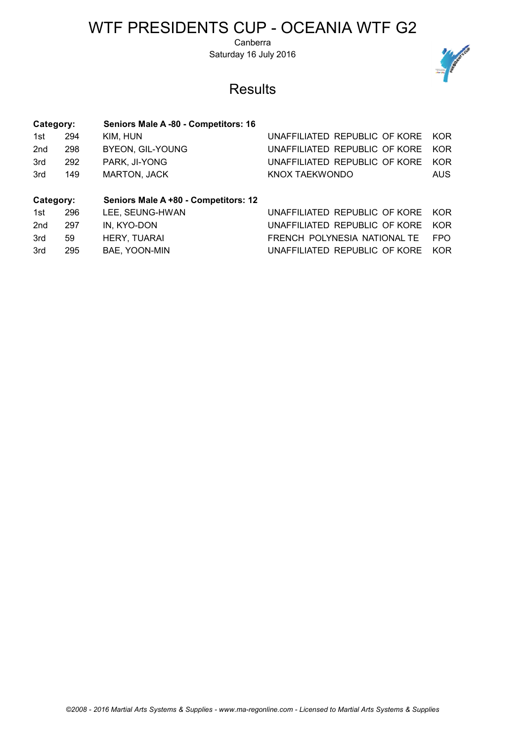Canberra Saturday 16 July 2016



| Category:       |     | Seniors Male A -80 - Competitors: 16 |                               |            |
|-----------------|-----|--------------------------------------|-------------------------------|------------|
| 1st             | 294 | KIM, HUN                             | UNAFFILIATED REPUBLIC OF KORE | KOR        |
| 2 <sub>nd</sub> | 298 | <b>BYEON, GIL-YOUNG</b>              | UNAFFILIATED REPUBLIC OF KORE | KOR        |
| 3rd             | 292 | PARK, JI-YONG                        | UNAFFILIATED REPUBLIC OF KORE | <b>KOR</b> |
| 3rd             | 149 | <b>MARTON, JACK</b>                  | KNOX TAEKWONDO                | <b>AUS</b> |
| Category:       |     | Seniors Male A +80 - Competitors: 12 |                               |            |
| 1st             | 296 | LEE, SEUNG-HWAN                      | UNAFFILIATED REPUBLIC OF KORE | KOR        |
| 2 <sub>nd</sub> | 297 | IN. KYO-DON                          | UNAFFILIATED REPUBLIC OF KORE | KOR        |
| 3rd             |     |                                      |                               |            |
|                 | 59  | HERY, TUARAI                         | FRENCH POLYNESIA NATIONAL TE  | <b>FPO</b> |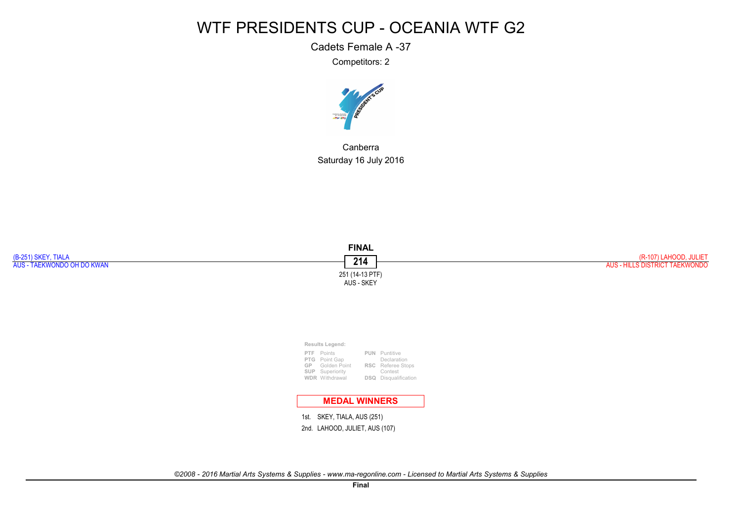Cadets Female A -37

Competitors: 2



CanberraSaturday 16 July 2016

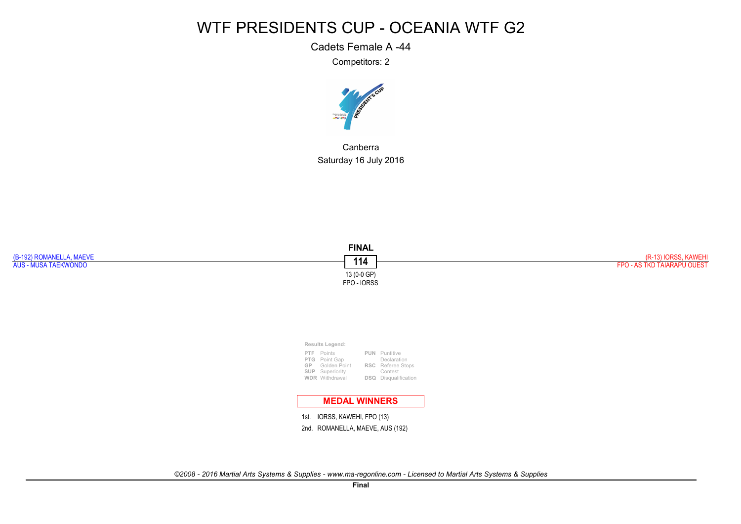Cadets Female A -44

Competitors: 2



CanberraSaturday 16 July 2016

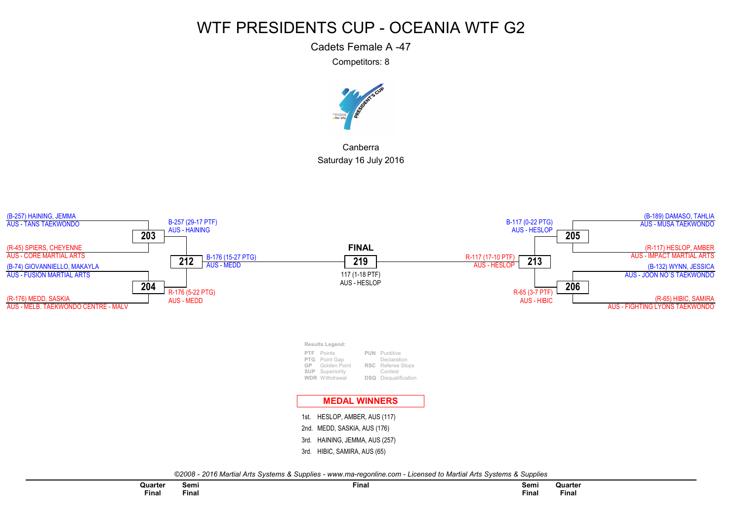Cadets Female A -47

Competitors: 8



CanberraSaturday 16 July 2016

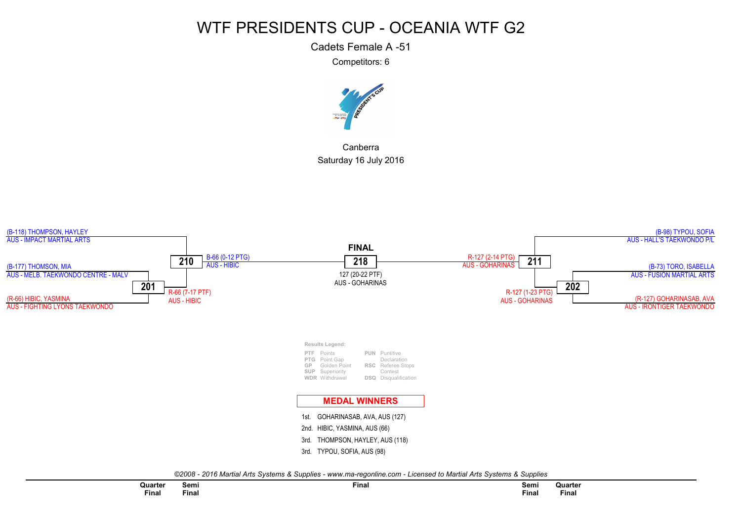Cadets Female A -51

Competitors: 6



CanberraSaturday 16 July 2016

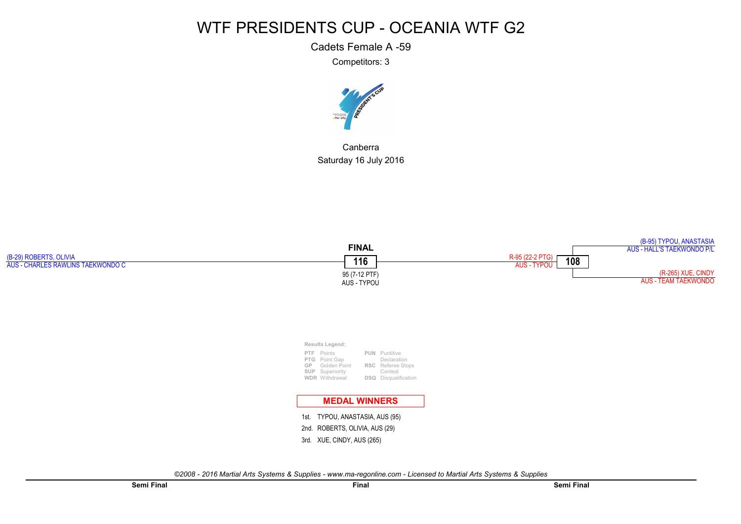Cadets Female A -59

Competitors: 3



CanberraSaturday 16 July 2016

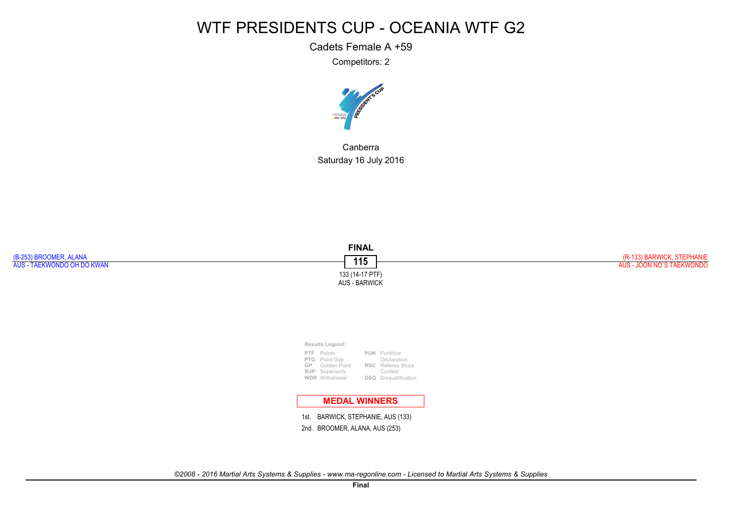Cadets Female A +59

Competitors: 2



CanberraSaturday 16 July 2016

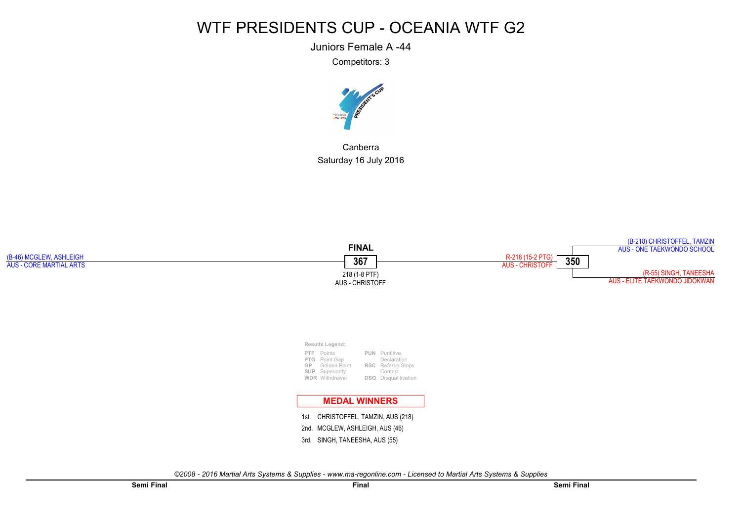Juniors Female A -44

Competitors: 3



CanberraSaturday 16 July 2016

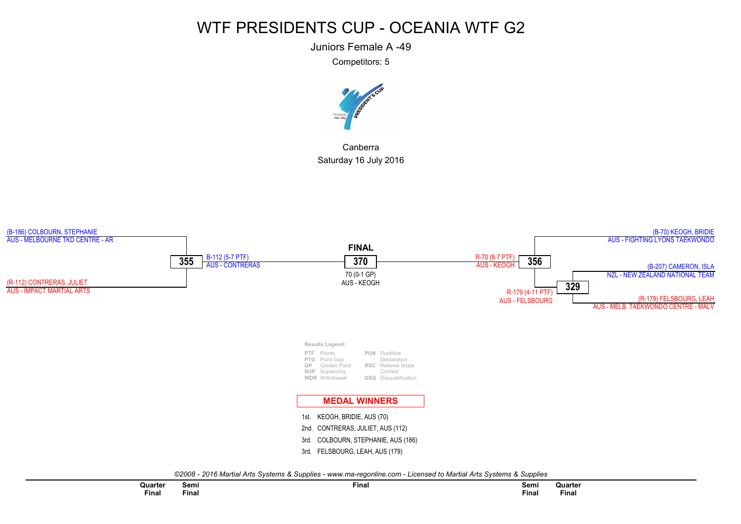Juniors Female A -49

Competitors: 5



CanberraSaturday 16 July 2016

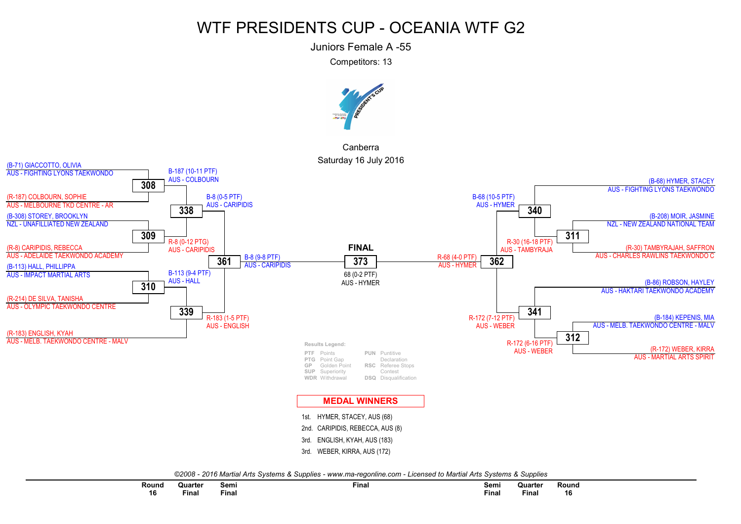Juniors Female A -55

Competitors: 13



CanberraSaturday 16 July 2016



| Round        | Quarter                                     | Semi         | Fina. | Semi               | Quarter | Round        |  |
|--------------|---------------------------------------------|--------------|-------|--------------------|---------|--------------|--|
| 16<br>$\sim$ | <b><i><u>Bandario 1999</u></i></b><br>Final | <b>Final</b> |       | $- \cdot$<br>Final | Final   | 16<br>$\sim$ |  |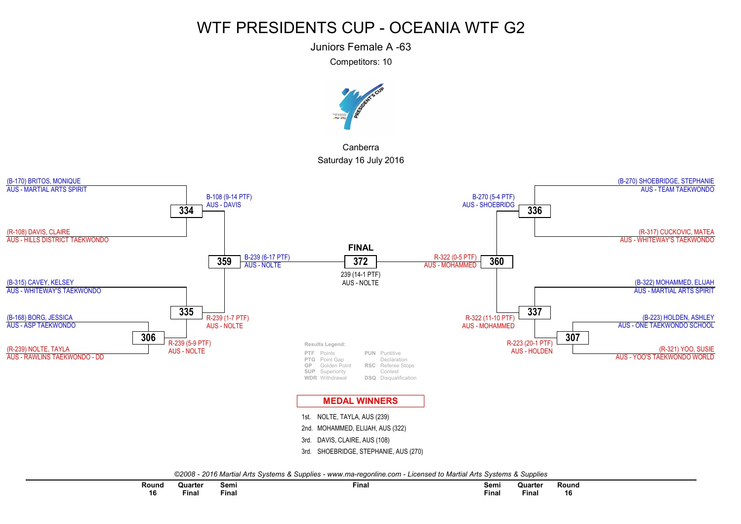Juniors Female A -63

Competitors: 10



CanberraSaturday 16 July 2016



| Round        | Quarter | Semi     | Final | Semi     | Quarter | Round        |  |
|--------------|---------|----------|-------|----------|---------|--------------|--|
| 16<br>$\sim$ | Final   | $F$ inal |       | $F$ inal | Final   | 16<br>$\sim$ |  |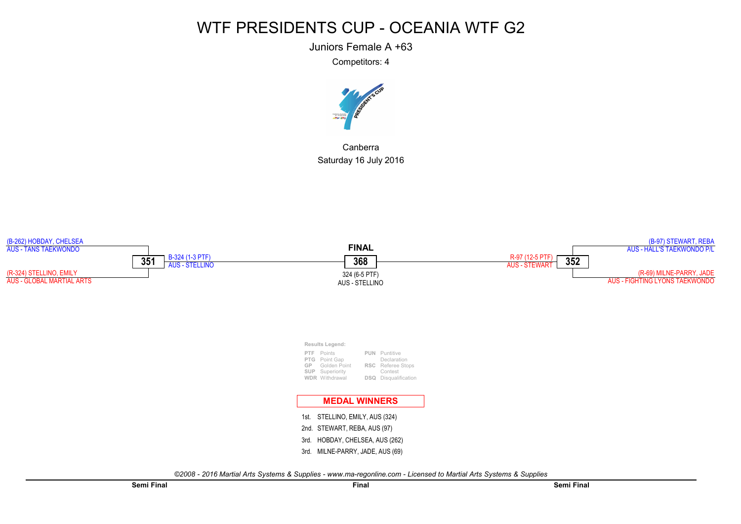Juniors Female A +63

Competitors: 4



CanberraSaturday 16 July 2016

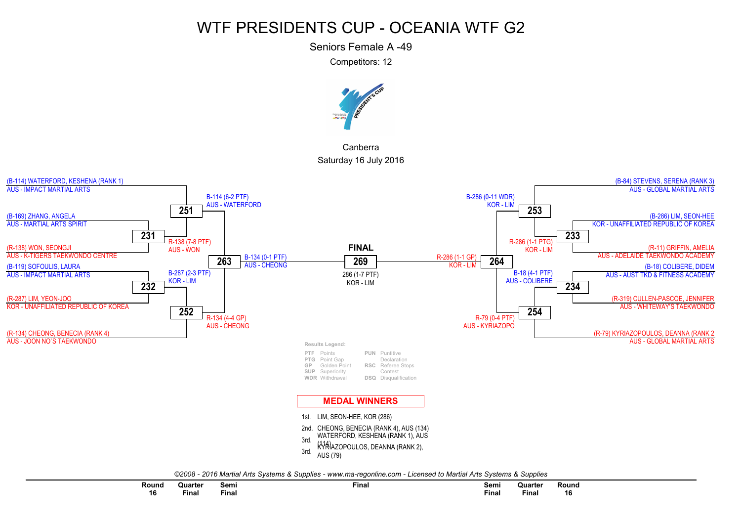Seniors Female A -49

Competitors: 12



CanberraSaturday 16 July 2016



| Round  | Quarter                                                                                                         | Semi  | Fina. | Semi  | Quarter                                                                                                         | Round |
|--------|-----------------------------------------------------------------------------------------------------------------|-------|-------|-------|-----------------------------------------------------------------------------------------------------------------|-------|
|        | the contract of the contract of the contract of the contract of the contract of the contract of the contract of |       |       | $ -$  | the contract of the contract of the contract of the contract of the contract of the contract of the contract of |       |
| 16     | inal                                                                                                            | Final |       | ∶inal | $F$ inal                                                                                                        | 16    |
| $\sim$ |                                                                                                                 |       |       |       |                                                                                                                 |       |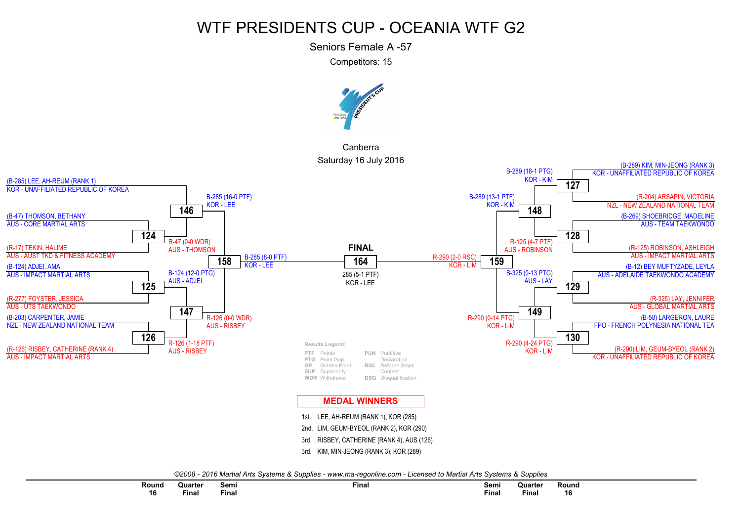Seniors Female A -57

Competitors: 15



CanberraSaturday 16 July 2016



| Round | Quarter | Semi<br>___ | Final | Semi     | Quarter      | Round |
|-------|---------|-------------|-------|----------|--------------|-------|
| 16    | Final   | Final       |       | $Fin$ al | <b>Final</b> | 16    |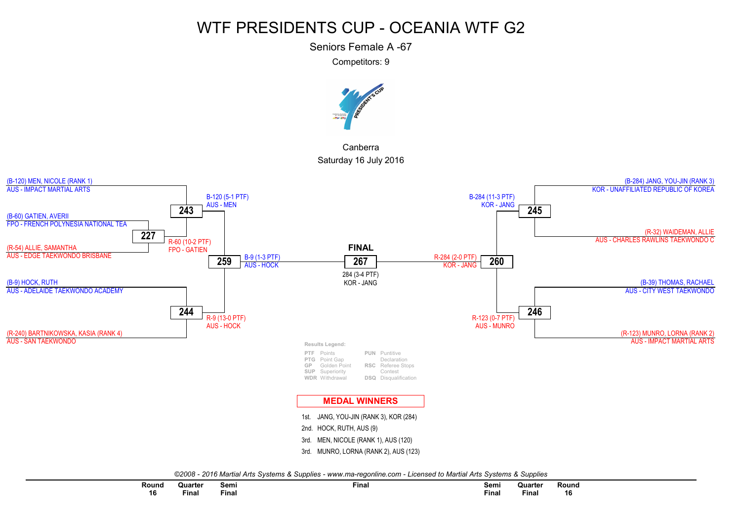Seniors Female A -67

Competitors: 9



CanberraSaturday 16 July 2016



*©2008 - 2016 Martial Arts Systems & Supplies - www.ma-regonline.com - Licensed to Martial Arts Systems & Supplies*

| Round        | Quarter                                     | Semi<br>$ -$ | Fina. | Semi         | Quarter | Rounc        |
|--------------|---------------------------------------------|--------------|-------|--------------|---------|--------------|
| 16<br>$\sim$ | <b><i><u>Bandario 1999</u></i></b><br>∙inal | Final        |       | <b>Final</b> | Final   | 16<br>$\sim$ |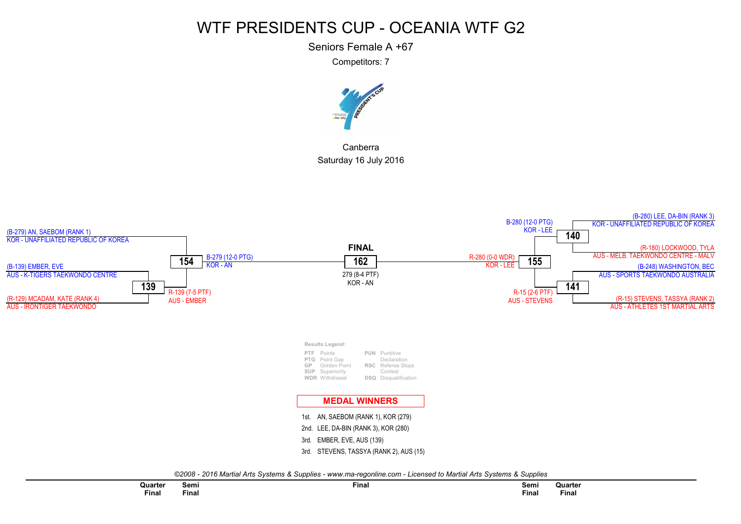Seniors Female A +67

Competitors: 7



CanberraSaturday 16 July 2016

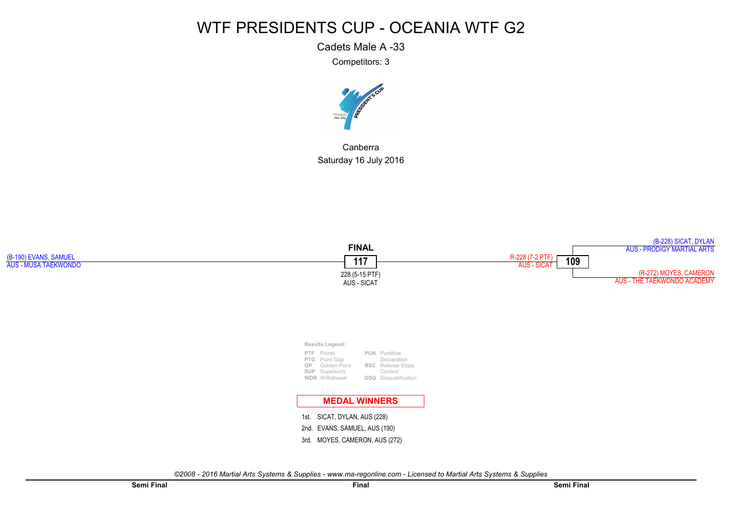Cadets Male A -33

Competitors: 3



CanberraSaturday 16 July 2016

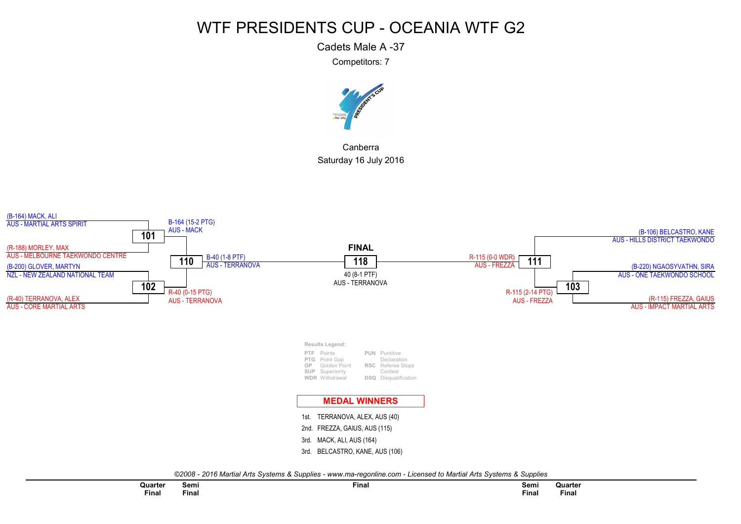Cadets Male A -37

Competitors: 7



CanberraSaturday 16 July 2016

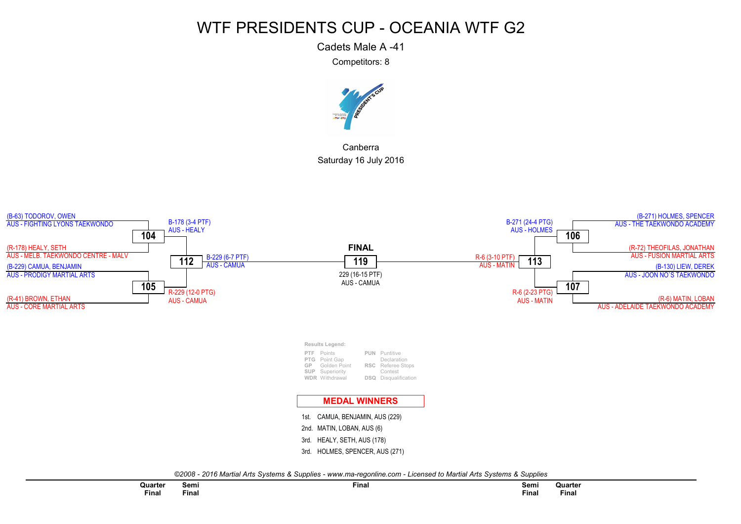Cadets Male A -41

Competitors: 8



CanberraSaturday 16 July 2016

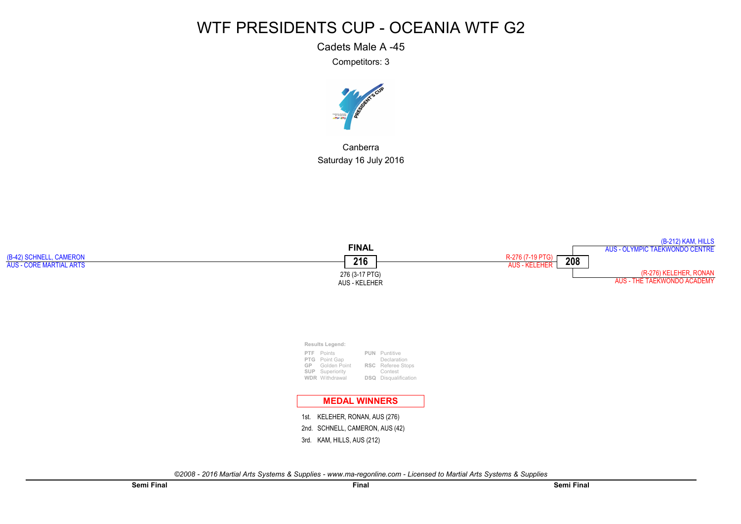Cadets Male A -45

Competitors: 3



CanberraSaturday 16 July 2016

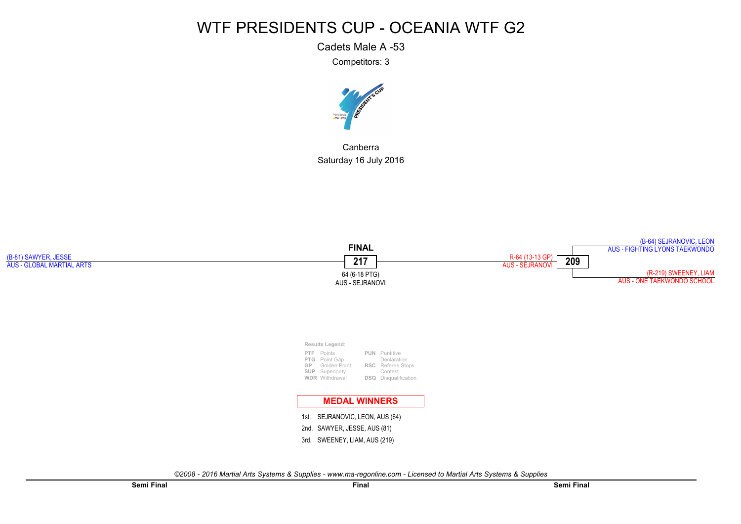Cadets Male A -53

Competitors: 3



CanberraSaturday 16 July 2016

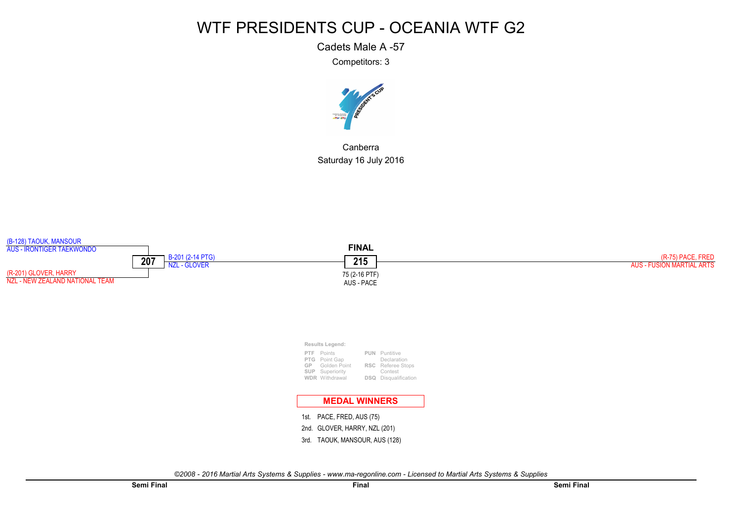Cadets Male A -57

Competitors: 3



CanberraSaturday 16 July 2016

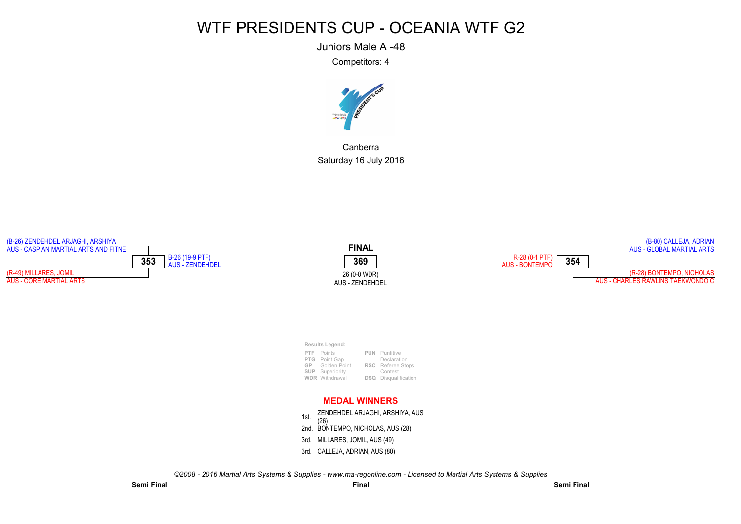Juniors Male A -48

Competitors: 4



CanberraSaturday 16 July 2016

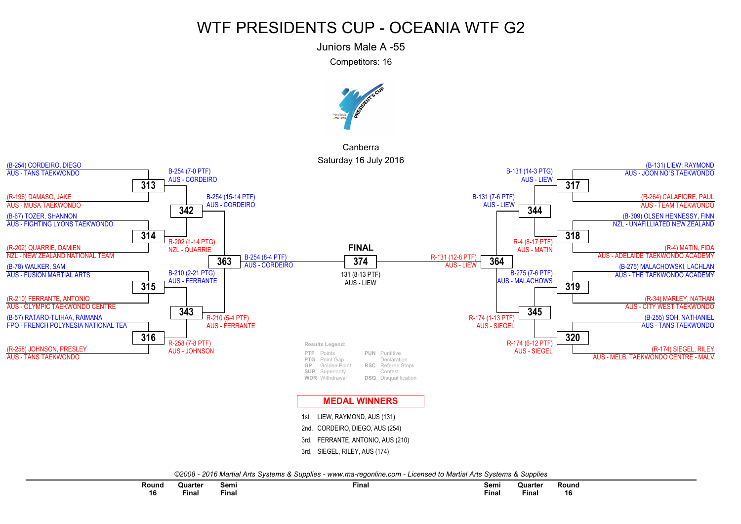Juniors Male A -55

Competitors: 16



CanberraSaturday 16 July 2016



| Round        | Quarter | Semi               | Final | Semi         | Quarter | Round               |
|--------------|---------|--------------------|-------|--------------|---------|---------------------|
| 16<br>$\sim$ | Final   | $- \cdot$<br>Final |       | <b>Final</b> | Final   | . .<br>16<br>$\sim$ |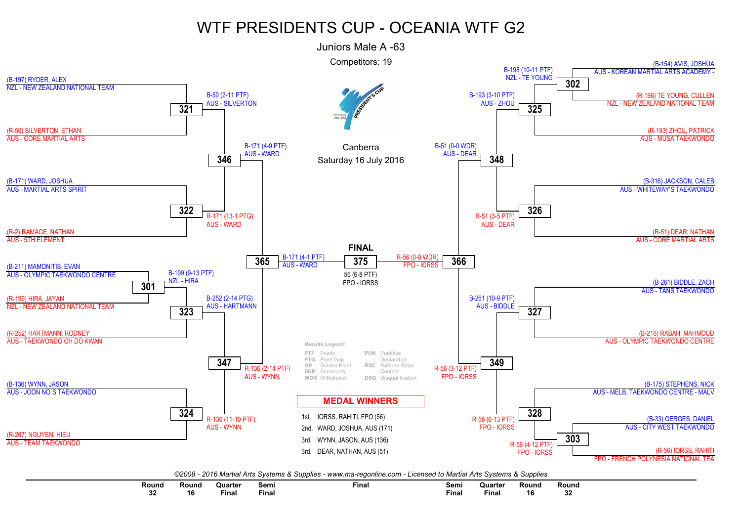

| Round         | <b>Roun</b> | วแarter<br>the contract of the contract of the contract of the contract of the contract of | Semi  | Final | Semi  | Juarter<br>the contract of the contract of the contract of the contract of the contract of | Round | Round       |
|---------------|-------------|--------------------------------------------------------------------------------------------|-------|-------|-------|--------------------------------------------------------------------------------------------|-------|-------------|
| $\sim$<br>-JA | 10          | Fina.                                                                                      | Fina. |       | Final | Fina.                                                                                      | 16    | $\sim$<br>ູ |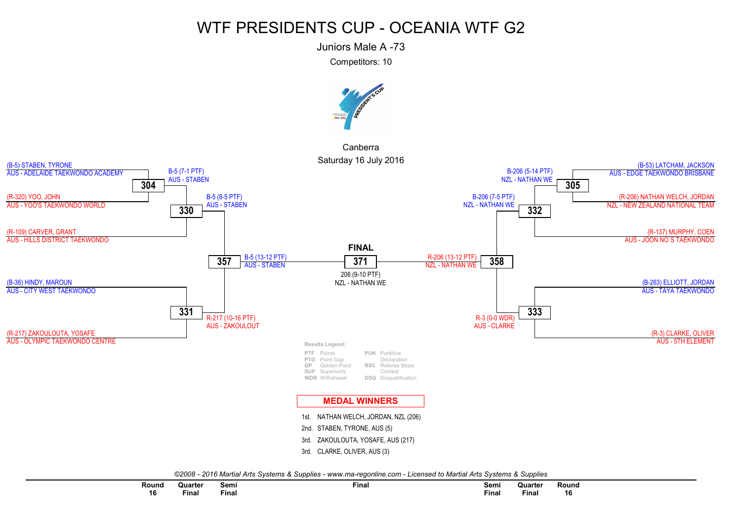Juniors Male A -73

Competitors: 10



Canberra



*©2008 - 2016 Martial Arts Systems & Supplies - www.ma-regonline.com - Licensed to Martial Arts Systems & Supplies*

| Round        | Quarter     | Semi     | <b>Final</b> | Semi  | Quarter      | Round        |  |
|--------------|-------------|----------|--------------|-------|--------------|--------------|--|
| 16<br>$\sim$ | --<br>Final | $F$ inal |              | Final | <b>Final</b> | 16<br>$\sim$ |  |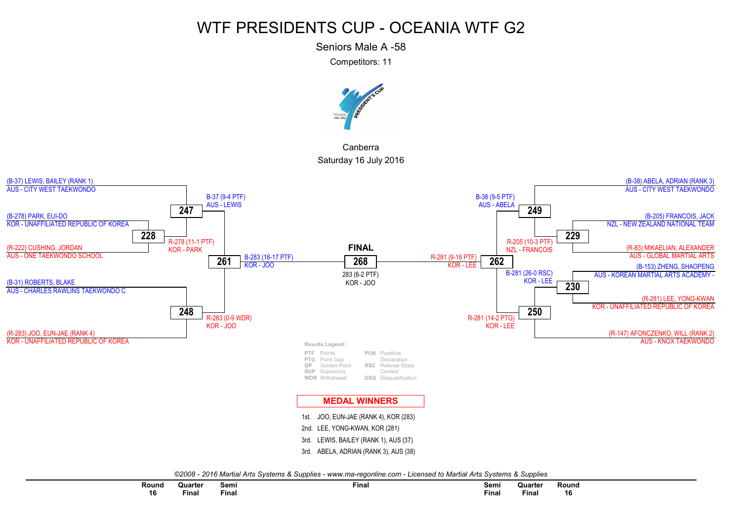Seniors Male A -58

Competitors: 11



CanberraSaturday 16 July 2016



| Rounc        | Quarter | Semi  | $\sim$<br>∙inal | Semi  | Quarter | Rounc |  |
|--------------|---------|-------|-----------------|-------|---------|-------|--|
| 16<br>$\sim$ | Final   | Final |                 | Final | Final   | 16    |  |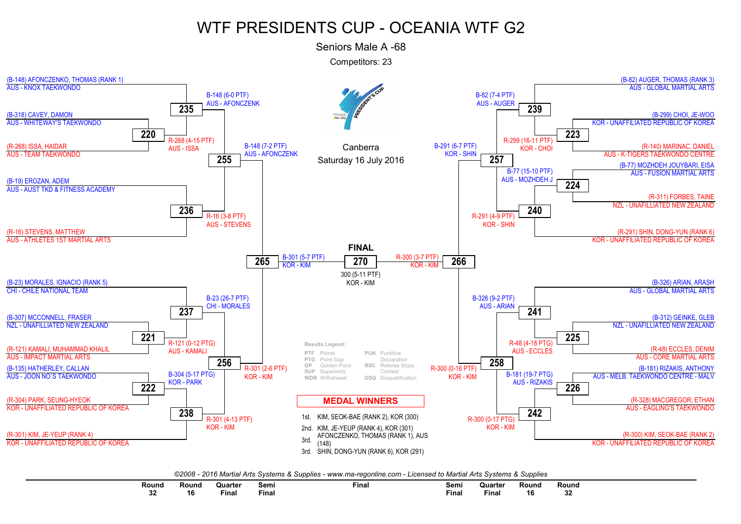Seniors Male A -68

Competitors: 23



| Round<br>.   | Round | Quarter | Semi  | Final | Semi<br>___  | Quarte | Round | Round        |
|--------------|-------|---------|-------|-------|--------------|--------|-------|--------------|
| $\sim$<br>∡د | 10    | Final   | Final |       | <b>Final</b> | Final  | ם ו   | $\sim$<br>υz |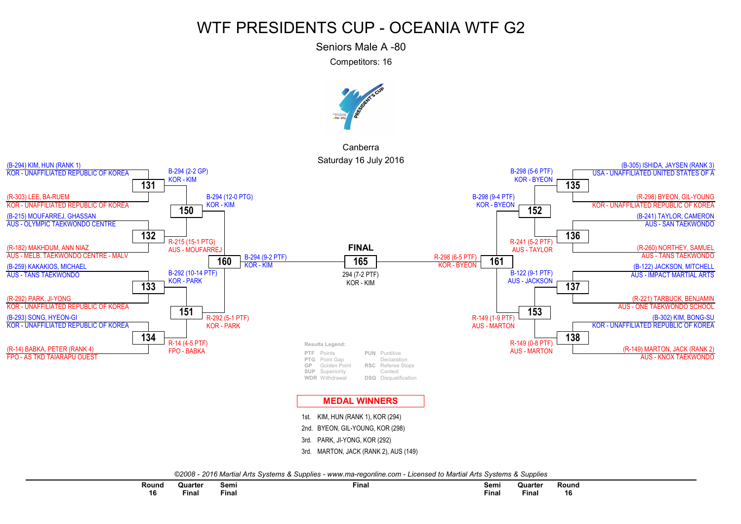Seniors Male A -80

Competitors: 16



CanberraSaturday 16 July 2016



| Round | Quarter | Semi  | Final | Semi               | Quarter      | Round |  |
|-------|---------|-------|-------|--------------------|--------------|-------|--|
| 16    | inal    | Final |       | $- \cdot$<br>Final | <b>Final</b> | 16    |  |